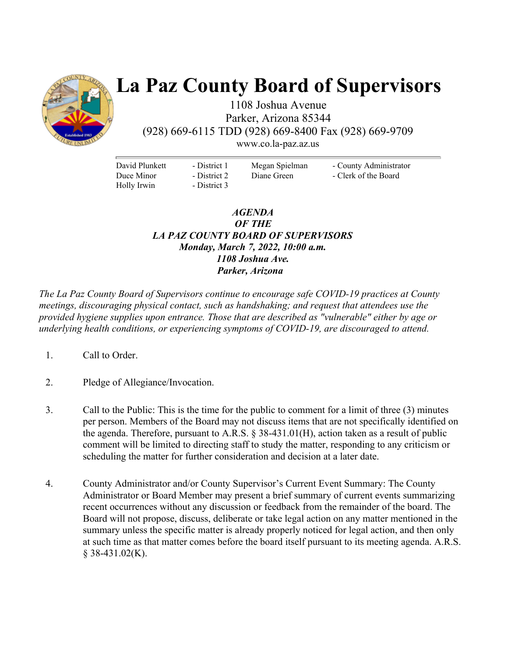

# **La Paz County Board of Supervisors**

1108 Joshua Avenue Parker, Arizona 85344 (928) 669-6115 TDD (928) 669-8400 Fax (928) 669-9709

www.co.la-paz.az.us

David Plunkett Duce Minor Holly Irwin

- District 1 - District 2 - District 3 Megan Spielman Diane Green

- County Administrator - Clerk of the Board

#### *AGENDA OF THE LA PAZ COUNTY BOARD OF SUPERVISORS Monday, March 7, 2022, 10:00 a.m. 1108 Joshua Ave. Parker, Arizona*

*The La Paz County Board of Supervisors continue to encourage safe COVID-19 practices at County meetings, discouraging physical contact, such as handshaking; and request that attendees use the provided hygiene supplies upon entrance. Those that are described as "vulnerable" either by age or underlying health conditions, or experiencing symptoms of COVID-19, are discouraged to attend.* 

- 1. Call to Order.
- 2. Pledge of Allegiance/Invocation.
- 3. Call to the Public: This is the time for the public to comment for a limit of three (3) minutes per person. Members of the Board may not discuss items that are not specifically identified on the agenda. Therefore, pursuant to A.R.S. § 38-431.01(H), action taken as a result of public comment will be limited to directing staff to study the matter, responding to any criticism or scheduling the matter for further consideration and decision at a later date.
- 4. County Administrator and/or County Supervisor's Current Event Summary: The County Administrator or Board Member may present a brief summary of current events summarizing recent occurrences without any discussion or feedback from the remainder of the board. The Board will not propose, discuss, deliberate or take legal action on any matter mentioned in the summary unless the specific matter is already properly noticed for legal action, and then only at such time as that matter comes before the board itself pursuant to its meeting agenda. A.R.S.  $§$  38-431.02(K).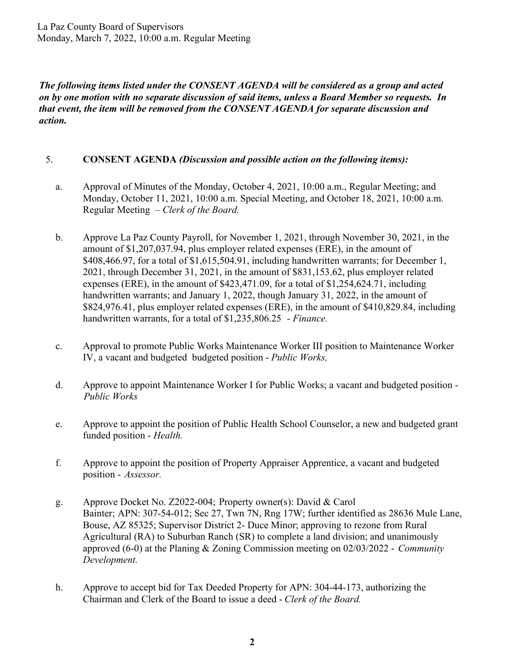*The following items listed under the CONSENT AGENDA will be considered as a group and acted on by one motion with no separate discussion of said items, unless a Board Member so requests. In that event, the item will be removed from the CONSENT AGENDA for separate discussion and action.* 

#### 5. **CONSENT AGENDA** *(Discussion and possible action on the following items):*

- a. Approval of Minutes of the Monday, October 4, 2021, 10:00 a.m., Regular Meeting; and Monday, October 11, 2021, 10:00 a.m. Special Meeting, and October 18, 2021, 10:00 a.m. Regular Meeting – *Clerk of the Board.*
- b. Approve La Paz County Payroll, for November 1, 2021, through November 30, 2021, in the amount of \$1,207,037.94, plus employer related expenses (ERE), in the amount of \$408,466.97, for a total of \$1,615,504.91, including handwritten warrants; for December 1, 2021, through December 31, 2021, in the amount of \$831,153.62, plus employer related expenses (ERE), in the amount of \$423,471.09, for a total of \$1,254,624.71, including handwritten warrants; and January 1, 2022, though January 31, 2022, in the amount of \$824,976.41, plus employer related expenses (ERE), in the amount of \$410,829.84, including handwritten warrants, for a total of \$1,235,806.25 *- Finance.*
- c. Approval to promote Public Works Maintenance Worker III position to Maintenance Worker IV, a vacant and budgeted budgeted position - *Public Works,*
- d. Approve to appoint Maintenance Worker I for Public Works; a vacant and budgeted position *Public Works*
- e. Approve to appoint the position of Public Health School Counselor, a new and budgeted grant funded position - *Health.*
- f. Approve to appoint the position of Property Appraiser Apprentice, a vacant and budgeted position - *Assessor.*
- g. Approve Docket No. Z2022-004; Property owner(s): David & Carol Bainter; APN: 307-54-012; Sec 27, Twn 7N, Rng 17W; further identified as 28636 Mule Lane, Bouse, AZ 85325; Supervisor District 2- Duce Minor; approving to rezone from Rural Agricultural (RA) to Suburban Ranch (SR) to complete a land division; and unanimously approved (6-0) at the Planing & Zoning Commission meeting on 02/03/2022 - *Community Development.*
- h. Approve to accept bid for Tax Deeded Property for APN: 304-44-173, authorizing the Chairman and Clerk of the Board to issue a deed - *Clerk of the Board.*